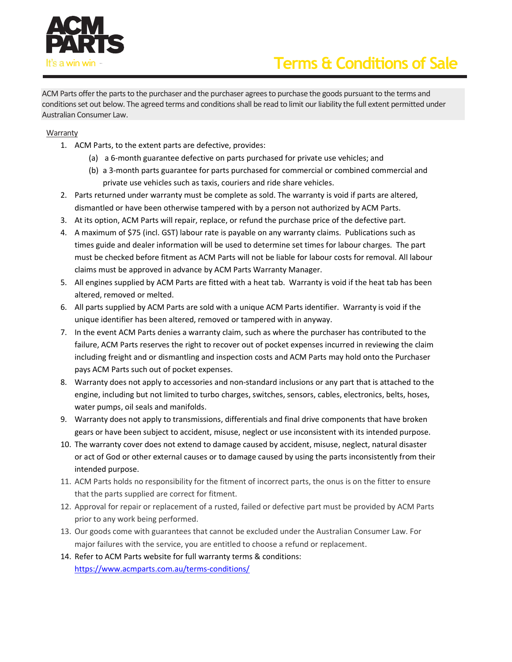

# Terms & Conditions of Sale

ACM Parts offer the parts to the purchaser and the purchaser agrees to purchase the goods pursuant to the terms and conditions set out below. The agreed terms and conditions shall be read to limit our liability the full extent permitted under Australian Consumer Law.

## Warranty

- 1. ACM Parts, to the extent parts are defective, provides:
	- (a) a 6-month guarantee defective on parts purchased for private use vehicles; and
	- (b) a 3-month parts guarantee for parts purchased for commercial or combined commercial and private use vehicles such as taxis, couriers and ride share vehicles.
- 2. Parts returned under warranty must be complete as sold. The warranty is void if parts are altered, dismantled or have been otherwise tampered with by a person not authorized by ACM Parts.
- 3. At its option, ACM Parts will repair, replace, or refund the purchase price of the defective part.
- 4. A maximum of \$75 (incl. GST) labour rate is payable on any warranty claims. Publications such as times guide and dealer information will be used to determine set times for labour charges. The part must be checked before fitment as ACM Parts will not be liable for labour costs for removal. All labour claims must be approved in advance by ACM Parts Warranty Manager.
- 5. All engines supplied by ACM Parts are fitted with a heat tab. Warranty is void if the heat tab has been altered, removed or melted.
- 6. All parts supplied by ACM Parts are sold with a unique ACM Parts identifier. Warranty is void if the unique identifier has been altered, removed or tampered with in anyway.
- 7. In the event ACM Parts denies a warranty claim, such as where the purchaser has contributed to the failure, ACM Parts reserves the right to recover out of pocket expenses incurred in reviewing the claim including freight and or dismantling and inspection costs and ACM Parts may hold onto the Purchaser pays ACM Parts such out of pocket expenses.
- 8. Warranty does not apply to accessories and non-standard inclusions or any part that is attached to the engine, including but not limited to turbo charges, switches, sensors, cables, electronics, belts, hoses, water pumps, oil seals and manifolds.
- 9. Warranty does not apply to transmissions, differentials and final drive components that have broken gears or have been subject to accident, misuse, neglect or use inconsistent with its intended purpose.
- 10. The warranty cover does not extend to damage caused by accident, misuse, neglect, natural disaster or act of God or other external causes or to damage caused by using the parts inconsistently from their intended purpose.
- 11. ACM Parts holds no responsibility for the fitment of incorrect parts, the onus is on the fitter to ensure that the parts supplied are correct for fitment.
- 12. Approval for repair or replacement of a rusted, failed or defective part must be provided by ACM Parts prior to any work being performed.
- 13. Our goods come with guarantees that cannot be excluded under the Australian Consumer Law. For major failures with the service, you are entitled to choose a refund or replacement.
- 14. Refer to ACM Parts website for full warranty terms & conditions: https://www.acmparts.com.au/terms-conditions/